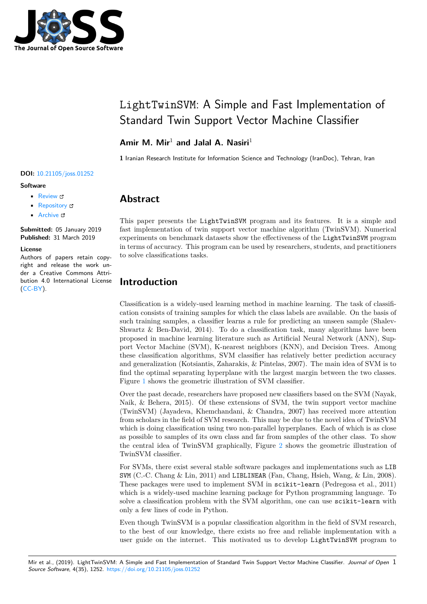

# LightTwinSVM: A Simple and Fast Implementation of Standard Twin Support Vector Machine Classifier

#### **Amir M. Mir**<sup>1</sup> **and Jalal A. Nasiri**<sup>1</sup>

**1** Iranian Research Institute for Information Science and Technology (IranDoc), Tehran, Iran

#### **DOI:** 10.21105/joss.01252

#### **Software**

- Review C
- [Repository](https://doi.org/10.21105/joss.01252) &
- Archive

**Subm[itted:](https://github.com/openjournals/joss-reviews/issues/1252)** 05 January 2019 **Published:** [31 M](https://github.com/mir-am/LightTwinSVM)arch 2019

#### **Licen[se](https://doi.org/10.5281/zenodo.2619436)**

Authors of papers retain copyright and release the work under a Creative Commons Attribution 4.0 International License (CC-BY).

### **Abstract**

This paper presents the LightTwinSVM program and its features. It is a simple and fast implementation of twin support vector machine algorithm (TwinSVM). Numerical experiments on benchmark datasets show the effectiveness of the LightTwinSVM program in terms of accuracy. This program can be used by researchers, students, and practitioners to solve classifications tasks.

### **Introduction**

Classification is a widely-used learning method in machine learning. The task of classification consists of training samples for which the class labels are available. On the basis of such training samples, a classifier learns a rule for predicting an unseen sample (Shalev-Shwartz & Ben-David, 2014). To do a classification task, many algorithms have been proposed in machine learning literature such as Artificial Neural Network (ANN), Support Vector Machine (SVM), K-nearest neighbors (KNN), and Decision Trees. Among these classification algorithms, SVM classifier has relatively better prediction accuracy and generalization (Kotsiantis, Zaharakis, & Pintelas, 2007). The main idea of SVM is to find the optimal separating hyperplane with the largest margin between the two classes. Figure 1 shows the geometric illustration of SVM classifier.

Over the past decade, researchers have proposed new classifiers based on the SVM (Nayak, Naik, & Behera, 2015). Of these extensions of SVM, the twin support vector machine (TwinSVM) (Jayadeva, Khemchandani, & Chandra, 2007) has received more attention from sc[h](#page-1-0)olars in the field of SVM research. This may be due to the novel idea of TwinSVM which is doing classification using two non-parallel hyperplanes. Each of which is as close as possible to samples of its own class and far from samples of the other class. To show the central idea of TwinSVM graphically, Figure 2 shows the geometric illustration of TwinSVM classifier.

For SVMs, there exist several stable software packages and implementations such as LIB SVM (C.-C. Chang  $\&$  Lin, 2011) and LIBLINEAR (Fan, Chang, Hsieh, Wang,  $\&$  Lin, 2008). These packages were used to implement SVM in s[ci](#page-1-1)kit-learn (Pedregosa et al., 2011) which is a widely-used machine learning package for Python programming language. To solve a classification problem with the SVM algorithm, one can use scikit-learn with only a few lines of code in Python.

Even though TwinSVM is a popular classification algorithm in the field of SVM research, to the best of our knowledge, there exists no free and reliable implementation with a user guide on the internet. This motivated us to develop LightTwinSVM program to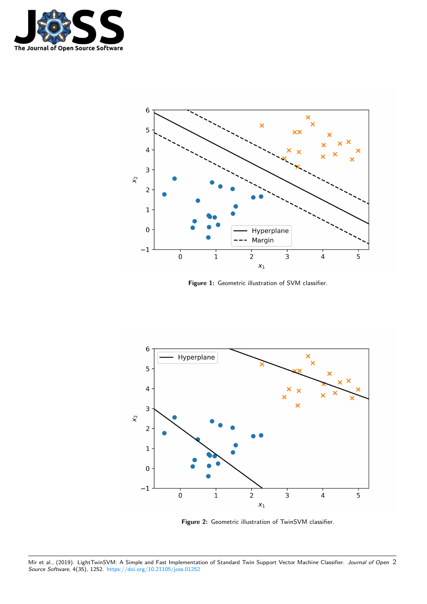

<span id="page-1-0"></span>

**Figure 1:** Geometric illustration of SVM classifier.

<span id="page-1-1"></span>

**Figure 2:** Geometric illustration of TwinSVM classifier.

Mir et al., (2019). LightTwinSVM: A Simple and Fast Implementation of Standard Twin Support Vector Machine Classifier. *Journal of Open* 2*Source Software*, 4(35), 1252. https://doi.org/10.21105/joss.01252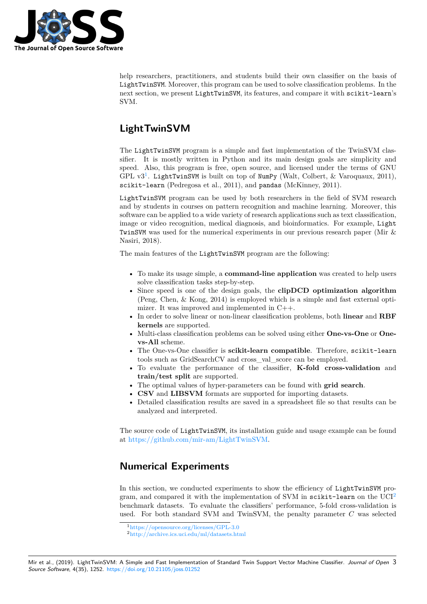

help researchers, practitioners, and students build their own classifier on the basis of LightTwinSVM. Moreover, this program can be used to solve classification problems. In the next section, we present LightTwinSVM, its features, and compare it with scikit-learn's SVM.

## **LightTwinSVM**

The LightTwinSVM program is a simple and fast implementation of the TwinSVM classifier. It is mostly written in Python and its main design goals are simplicity and speed. Also, this program is free, open source, and licensed under the terms of GNU GPL  $v3^1$ . LightTwinSVM is built on top of NumPy (Walt, Colbert, & Varoquaux, 2011), scikit-learn (Pedregosa et al., 2011), and pandas (McKinney, 2011).

LightTwinSVM program can be used by both researchers in the field of SVM research and by [st](#page-2-0)udents in courses on pattern recognition and machine learning. Moreover, this software can be applied to a wide variety of research applications such as text classification, image or video recognition, medical diagnosis, and bioinformatics. For example, Light TwinSVM was used for the numerical experiments in our previous research paper (Mir & Nasiri, 2018).

The main features of the LightTwinSVM program are the following:

- To make its usage simple, a **command-line application** was created to help users solve classification tasks step-by-step.
- Since speed is one of the design goals, the **clipDCD optimization algorithm** (Peng, Chen, & Kong, 2014) is employed which is a simple and fast external optimizer. It was improved and implemented in C++.
- In order to solve linear or non-linear classification problems, both **linear** and **RBF kernels** are supported.
- Multi-class classification problems can be solved using either **One-vs-One** or **Onevs-All** scheme.
- The One-vs-One classifier is **scikit-learn compatible**. Therefore, scikit-learn tools such as GridSearchCV and cross\_val\_score can be employed.
- To evaluate the performance of the classifier, **K-fold cross-validation** and **train/test split** are supported.
- The optimal values of hyper-parameters can be found with **grid search**.
- **CSV** and **LIBSVM** formats are supported for importing datasets.
- Detailed classification results are saved in a spreadsheet file so that results can be analyzed and interpreted.

The source code of LightTwinSVM, its installation guide and usage example can be found at https://github.com/mir-am/LightTwinSVM.

### **N[umerical Experiments](https://github.com/mir-am/LightTwinSVM)**

In this section, we conducted experiments to show the efficiency of LightTwinSVM program, and compared it with the implementation of SVM in scikit-learn on the  $UCI<sup>2</sup>$ benchmark datasets. To evaluate the classifiers' performance, 5-fold cross-validation is used. For both standard SVM and TwinSVM, the penalty parameter *C* was selected

<sup>1</sup>https://opensource.org/licenses/GPL-3.0

<span id="page-2-0"></span><sup>2</sup>http://archive.ics.uci.edu/ml/datasets.html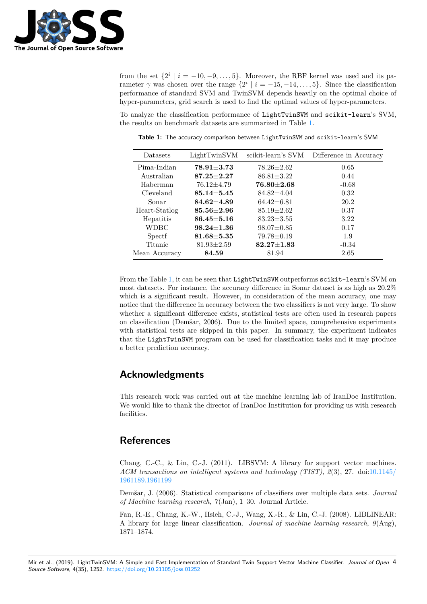

from the set  $\{2^i \mid i = -10, -9, \ldots, 5\}$ . Moreover, the RBF kernel was used and its parameter  $\gamma$  was chosen over the range  $\{2^i \mid i = -15, -14, \ldots, 5\}$ . Since the classification performance of standard SVM and TwinSVM depends heavily on the optimal choice of hyper-parameters, grid search is used to find the optimal values of hyper-parameters.

To analyze the classification performance of LightTwinSVM and scikit-learn's SVM, the results on benchmark datasets are summarized in Table 1.

<span id="page-3-0"></span>

| Datasets      | LightTwinSVM     | scikit-learn's SVM | Difference in Accuracy |
|---------------|------------------|--------------------|------------------------|
| Pima-Indian   | $78.91 \pm 3.73$ | $78.26 \pm 2.62$   | 0.65                   |
| Australian    | $87.25 \pm 2.27$ | $86.81 \pm 3.22$   | 0.44                   |
| Haberman      | $76.12 \pm 4.79$ | $76.80 {\pm} 2.68$ | $-0.68$                |
| Cleveland     | $85.14{\pm}5.45$ | $84.82 \pm 4.04$   | 0.32                   |
| Sonar         | $84.62 + 4.89$   | $64.42 \pm 6.81$   | 20.2                   |
| Heart-Statlog | $85.56 + 2.96$   | $85.19 \pm 2.62$   | 0.37                   |
| Hepatitis     | $86.45 + 5.16$   | $83.23 \pm 3.55$   | 3.22                   |
| WDBC          | $98.24 + 1.36$   | $98.07 \pm 0.85$   | 0.17                   |
| Spectf        | $81.68 + 5.35$   | $79.78 \pm 0.19$   | 1.9                    |
| Titanic       | $81.93 \pm 2.59$ | $82.27 \pm 1.83$   | $-0.34$                |
| Mean Accuracy | 84.59            | 81.94              | 2.65                   |

**Table 1:** The accuracy comparison between LightTwinSVM and scikit-learn's SVM

From the Table 1, it can be seen that LightTwinSVM outperforms scikit-learn's SVM on most datasets. For instance, the accuracy difference in Sonar dataset is as high as 20.2% which is a significant result. However, in consideration of the mean accuracy, one may notice that the difference in accuracy between the two classifiers is not very large. To show whether a signi[fic](#page-3-0)ant difference exists, statistical tests are often used in research papers on classification (Demšar, 2006). Due to the limited space, comprehensive experiments with statistical tests are skipped in this paper. In summary, the experiment indicates that the LightTwinSVM program can be used for classification tasks and it may produce a better prediction accuracy.

#### **Acknowledgments**

This research work was carried out at the machine learning lab of IranDoc Institution. We would like to thank the director of IranDoc Institution for providing us with research facilities.

#### **References**

Chang, C.-C., & Lin, C.-J. (2011). LIBSVM: A library for support vector machines. *ACM transactions on intelligent systems and technology (TIST)*, *2*(3), 27. doi:10.1145/ 1961189.1961199

Demšar, J. (2006). Statistical comparisons of classifiers over multiple data sets. *Journal of Machine learning research*, *7*(Jan), 1–30. Journal Article.

[Fan, R.-E., Chan](https://doi.org/10.1145/1961189.1961199)g, K.-W., Hsieh, C.-J., Wang, X.-R., & Lin, C.-J. (2008). LIB[LINEAR:](https://doi.org/10.1145/1961189.1961199) A library for large linear classification. *Journal of machine learning research*, *9*(Aug), 1871–1874.